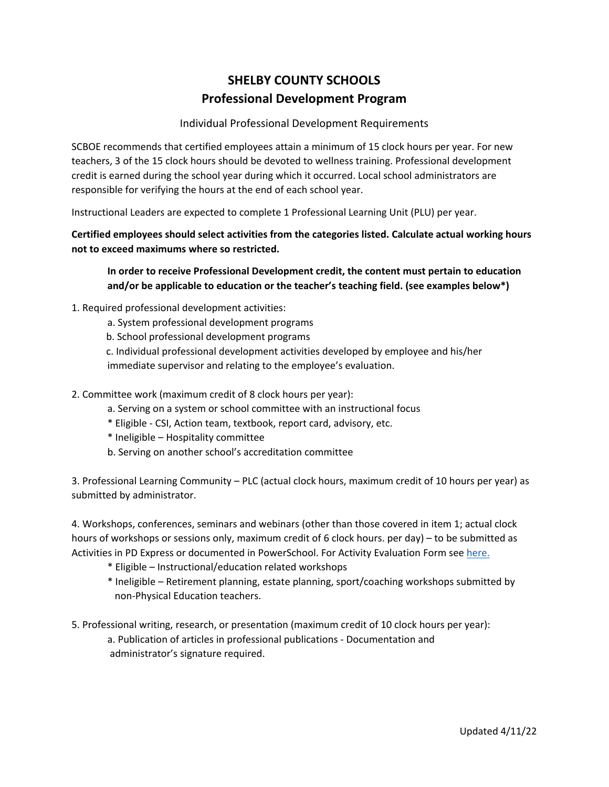## **SHELBY COUNTY SCHOOLS Professional Development Program**

## Individual Professional Development Requirements

SCBOE recommends that certified employees attain a minimum of 15 clock hours per year. For new teachers, 3 of the 15 clock hours should be devoted to wellness training. Professional development credit is earned during the school year during which it occurred. Local school administrators are responsible for verifying the hours at the end of each school year.

Instructional Leaders are expected to complete 1 Professional Learning Unit (PLU) per year.

**Certified employees should select activities from the categories listed. Calculate actual working hours not to exceed maximums where so restricted.**

**In order to receive Professional Development credit, the content must pertain to education and/or be applicable to education or the teacher's teaching field. (see examples below\*)**

- 1. Required professional development activities:
	- a. System professional development programs
	- b. School professional development programs

 c. Individual professional development activities developed by employee and his/her immediate supervisor and relating to the employee's evaluation.

- 2. Committee work (maximum credit of 8 clock hours per year):
	- a. Serving on a system or school committee with an instructional focus
	- \* Eligible CSI, Action team, textbook, report card, advisory, etc.
	- \* Ineligible Hospitality committee
	- b. Serving on another school's accreditation committee

3. Professional Learning Community – PLC (actual clock hours, maximum credit of 10 hours per year) as submitted by administrator.

4. Workshops, conferences, seminars and webinars (other than those covered in item 1; actual clock hours of workshops or sessions only, maximum credit of 6 clock hours. per day) – to be submitted as Activities in PD Express or documented in PowerSchool. For Activity Evaluation Form see [here.](https://www.shelbyed.k12.al.us/profdev/doclibrary/activityevaluationform.doc)

- \* Eligible Instructional/education related workshops
- \* Ineligible Retirement planning, estate planning, sport/coaching workshops submitted by non-Physical Education teachers.
- 5. Professional writing, research, or presentation (maximum credit of 10 clock hours per year):

 a. Publication of articles in professional publications - Documentation and administrator's signature required.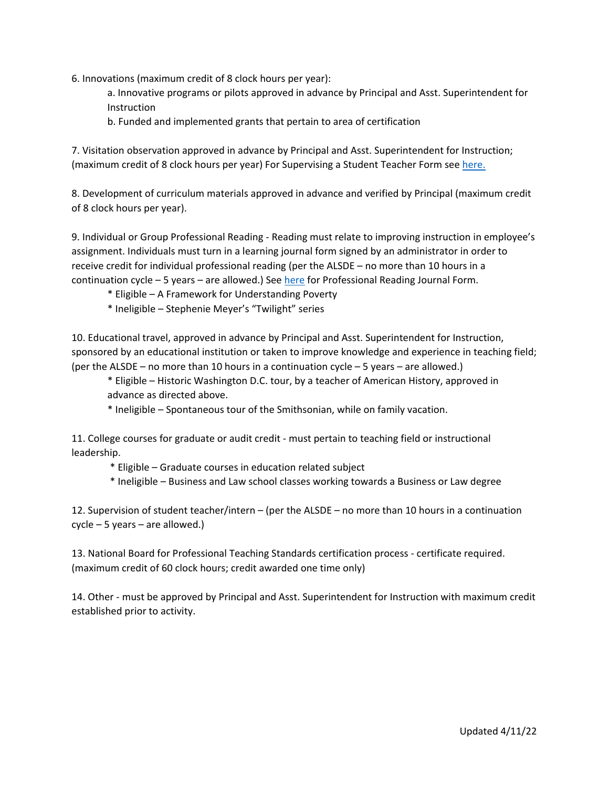- 6. Innovations (maximum credit of 8 clock hours per year):
	- a. Innovative programs or pilots approved in advance by Principal and Asst. Superintendent for Instruction
	- b. Funded and implemented grants that pertain to area of certification

7. Visitation observation approved in advance by Principal and Asst. Superintendent for Instruction; (maximum credit of 8 clock hours per year) For Supervising a Student Teacher Form see [here.](https://www.shelbyed.k12.al.us/profdev/doclibrary/2015StudentIntern.docx)

8. Development of curriculum materials approved in advance and verified by Principal (maximum credit of 8 clock hours per year).

9. Individual or Group Professional Reading - Reading must relate to improving instruction in employee's assignment. Individuals must turn in a learning journal form signed by an administrator in order to receive credit for individual professional reading (per the ALSDE – no more than 10 hours in a continuation cycle – 5 years – are allowed.) See [here](https://www.shelbyed.k12.al.us/profdev/doclibrary/2015ReadingJournal.docx) for Professional Reading Journal Form.

- \* Eligible A Framework for Understanding Poverty
- \* Ineligible Stephenie Meyer's "Twilight" series

10. Educational travel, approved in advance by Principal and Asst. Superintendent for Instruction, sponsored by an educational institution or taken to improve knowledge and experience in teaching field; (per the ALSDE – no more than 10 hours in a continuation cycle – 5 years – are allowed.)

\* Eligible – Historic Washington D.C. tour, by a teacher of American History, approved in advance as directed above.

\* Ineligible – Spontaneous tour of the Smithsonian, while on family vacation.

11. College courses for graduate or audit credit - must pertain to teaching field or instructional leadership.

- \* Eligible Graduate courses in education related subject
- \* Ineligible Business and Law school classes working towards a Business or Law degree

12. Supervision of student teacher/intern – (per the ALSDE – no more than 10 hours in a continuation cycle – 5 years – are allowed.)

13. National Board for Professional Teaching Standards certification process - certificate required. (maximum credit of 60 clock hours; credit awarded one time only)

14. Other - must be approved by Principal and Asst. Superintendent for Instruction with maximum credit established prior to activity.